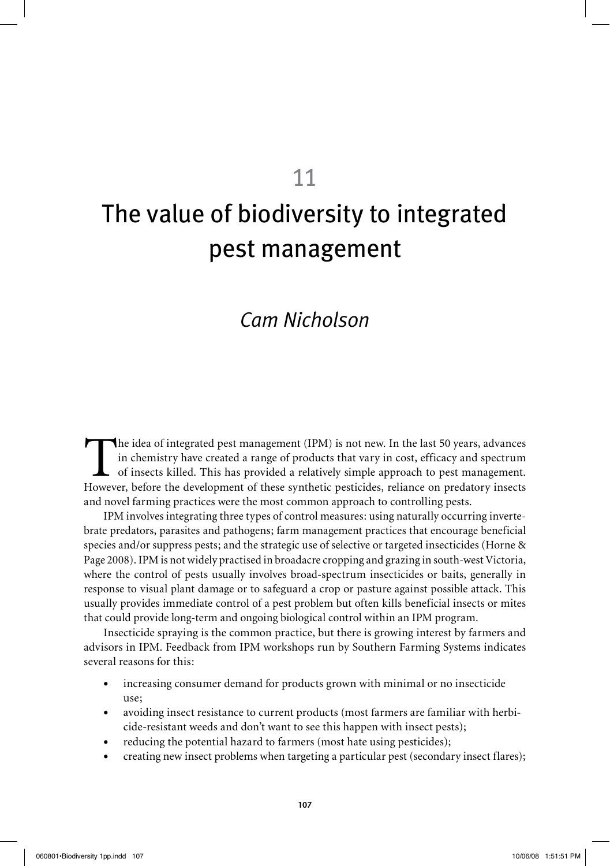# 11

# The value of biodiversity to integrated pest management

# *Cam Nicholson*

The idea of integrated pest management (IPM) is not new. In the last 50 years, advances<br>in chemistry have created a range of products that vary in cost, efficacy and spectrum<br>of insects killed. This has provided a relative in chemistry have created a range of products that vary in cost, efficacy and spectrum of insects killed. This has provided a relatively simple approach to pest management. However, before the development of these synthetic pesticides, reliance on predatory insects and novel farming practices were the most common approach to controlling pests.

IPM involves integrating three types of control measures: using naturally occurring invertebrate predators, parasites and pathogens; farm management practices that encourage beneficial species and/or suppress pests; and the strategic use of selective or targeted insecticides (Horne & Page 2008). IPM is not widely practised in broadacre cropping and grazing in south-west Victoria, where the control of pests usually involves broad-spectrum insecticides or baits, generally in response to visual plant damage or to safeguard a crop or pasture against possible attack. This usually provides immediate control of a pest problem but often kills beneficial insects or mites that could provide long-term and ongoing biological control within an IPM program.

Insecticide spraying is the common practice, but there is growing interest by farmers and advisors in IPM. Feedback from IPM workshops run by Southern Farming Systems indicates several reasons for this:

- increasing consumer demand for products grown with minimal or no insecticide use;
- avoiding insect resistance to current products (most farmers are familiar with herbicide-resistant weeds and don't want to see this happen with insect pests);
- reducing the potential hazard to farmers (most hate using pesticides);
- creating new insect problems when targeting a particular pest (secondary insect flares);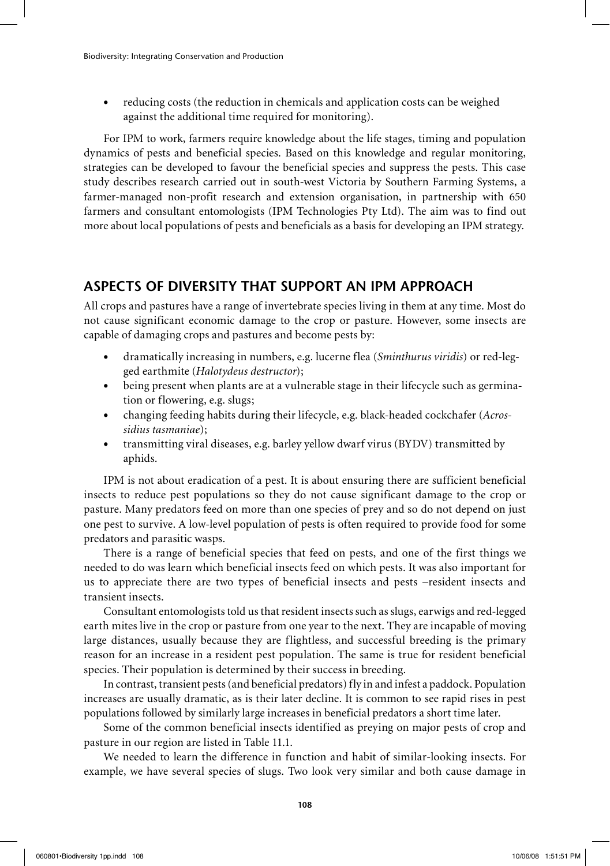reducing costs (the reduction in chemicals and application costs can be weighed against the additional time required for monitoring).

For IPM to work, farmers require knowledge about the life stages, timing and population dynamics of pests and beneficial species. Based on this knowledge and regular monitoring, strategies can be developed to favour the beneficial species and suppress the pests. This case study describes research carried out in south-west Victoria by Southern Farming Systems, a farmer-managed non-profit research and extension organisation, in partnership with 650 farmers and consultant entomologists (IPM Technologies Pty Ltd). The aim was to find out more about local populations of pests and beneficials as a basis for developing an IPM strategy.

## **Aspects of diversity that support an IPM approach**

All crops and pastures have a range of invertebrate species living in them at any time. Most do not cause significant economic damage to the crop or pasture. However, some insects are capable of damaging crops and pastures and become pests by:

- **•**  dramatically increasing in numbers, e.g. lucerne flea (*Sminthurus viridis*) or red-legged earthmite (*Halotydeus destructor*);
- being present when plants are at a vulnerable stage in their lifecycle such as germination or flowering, e.g. slugs;
- changing feeding habits during their lifecycle, e.g. black-headed cockchafer (*Acrossidius tasmaniae*);
- transmitting viral diseases, e.g. barley yellow dwarf virus (BYDV) transmitted by aphids.

IPM is not about eradication of a pest. It is about ensuring there are sufficient beneficial insects to reduce pest populations so they do not cause significant damage to the crop or pasture. Many predators feed on more than one species of prey and so do not depend on just one pest to survive. A low-level population of pests is often required to provide food for some predators and parasitic wasps.

There is a range of beneficial species that feed on pests, and one of the first things we needed to do was learn which beneficial insects feed on which pests. It was also important for us to appreciate there are two types of beneficial insects and pests –resident insects and transient insects.

Consultant entomologists told us that resident insects such as slugs, earwigs and red-legged earth mites live in the crop or pasture from one year to the next. They are incapable of moving large distances, usually because they are flightless, and successful breeding is the primary reason for an increase in a resident pest population. The same is true for resident beneficial species. Their population is determined by their success in breeding.

In contrast, transient pests (and beneficial predators) fly in and infest a paddock. Population increases are usually dramatic, as is their later decline. It is common to see rapid rises in pest populations followed by similarly large increases in beneficial predators a short time later.

Some of the common beneficial insects identified as preying on major pests of crop and pasture in our region are listed in Table 11.1.

We needed to learn the difference in function and habit of similar-looking insects. For example, we have several species of slugs. Two look very similar and both cause damage in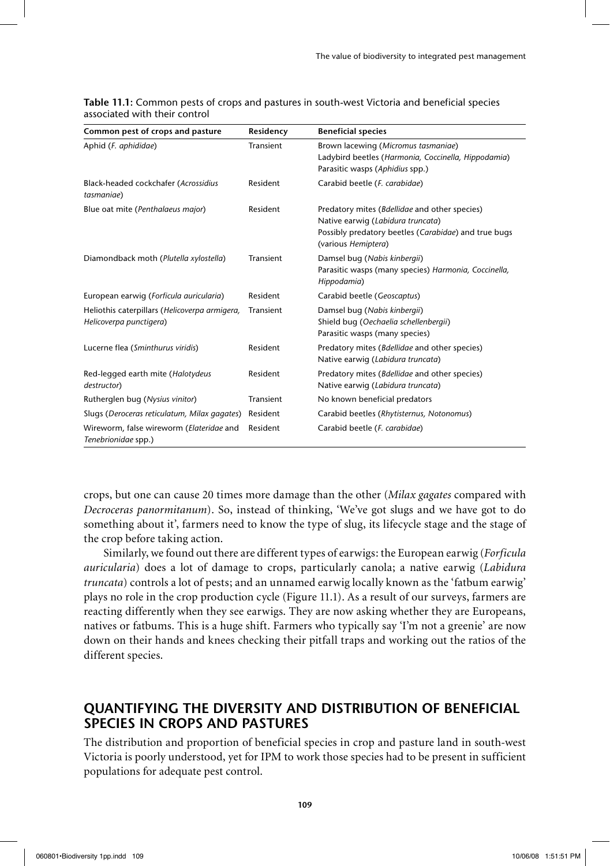| Common pest of crops and pasture                                         | Residency | <b>Beneficial species</b>                                                                                                                                         |
|--------------------------------------------------------------------------|-----------|-------------------------------------------------------------------------------------------------------------------------------------------------------------------|
| Aphid (F. aphididae)                                                     | Transient | Brown lacewing (Micromus tasmaniae)<br>Ladybird beetles (Harmonia, Coccinella, Hippodamia)<br>Parasitic wasps (Aphidius spp.)                                     |
| Black-headed cockchafer (Acrossidius<br>tasmaniae)                       | Resident  | Carabid beetle (F. carabidae)                                                                                                                                     |
| Blue oat mite (Penthalaeus major)                                        | Resident  | Predatory mites (Bdellidae and other species)<br>Native earwig (Labidura truncata)<br>Possibly predatory beetles (Carabidae) and true bugs<br>(various Hemiptera) |
| Diamondback moth (Plutella xylostella)                                   | Transient | Damsel bug (Nabis kinbergii)<br>Parasitic wasps (many species) Harmonia, Coccinella,<br>Hippodamia)                                                               |
| European earwig (Forficula auricularia)                                  | Resident  | Carabid beetle (Geoscaptus)                                                                                                                                       |
| Heliothis caterpillars (Helicoverpa armigera,<br>Helicoverpa punctigera) | Transient | Damsel bug (Nabis kinbergii)<br>Shield bug (Oechaelia schellenbergii)<br>Parasitic wasps (many species)                                                           |
| Lucerne flea (Sminthurus viridis)                                        | Resident  | Predatory mites (Bdellidae and other species)<br>Native earwig (Labidura truncata)                                                                                |
| Red-legged earth mite (Halotydeus<br>destructor)                         | Resident  | Predatory mites (Bdellidae and other species)<br>Native earwig (Labidura truncata)                                                                                |
| Rutherglen bug (Nysius vinitor)                                          | Transient | No known beneficial predators                                                                                                                                     |
| Slugs (Deroceras reticulatum, Milax gagates)                             | Resident  | Carabid beetles (Rhytisternus, Notonomus)                                                                                                                         |
| Wireworm, false wireworm (Elateridae and<br>Tenebrionidae spp.)          | Resident  | Carabid beetle (F. carabidae)                                                                                                                                     |

**Table 11.1:** Common pests of crops and pastures in south-west Victoria and beneficial species associated with their control

crops, but one can cause 20 times more damage than the other (*Milax gagates* compared with *Decroceras panormitanum*). So, instead of thinking, 'We've got slugs and we have got to do something about it', farmers need to know the type of slug, its lifecycle stage and the stage of the crop before taking action.

Similarly, we found out there are different types of earwigs: the European earwig (*Forficula auricularia*) does a lot of damage to crops, particularly canola; a native earwig (*Labidura truncata*) controls a lot of pests; and an unnamed earwig locally known as the 'fatbum earwig' plays no role in the crop production cycle (Figure 11.1). As a result of our surveys, farmers are reacting differently when they see earwigs. They are now asking whether they are Europeans, natives or fatbums. This is a huge shift. Farmers who typically say 'I'm not a greenie' are now down on their hands and knees checking their pitfall traps and working out the ratios of the different species.

## **Quantifying the diversity and distribution of beneficial species in crops and pastures**

The distribution and proportion of beneficial species in crop and pasture land in south-west Victoria is poorly understood, yet for IPM to work those species had to be present in sufficient populations for adequate pest control.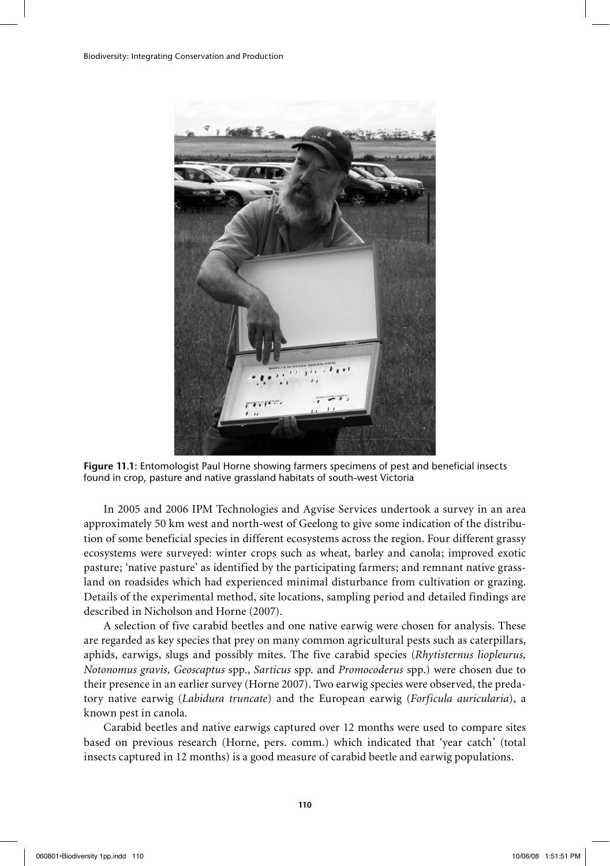Biodiversity: Integrating Conservation and Production



**Figure 11.1:** Entomologist Paul Horne showing farmers specimens of pest and beneficial insects found in crop, pasture and native grassland habitats of south-west Victoria

In 2005 and 2006 IPM Technologies and Agvise Services undertook a survey in an area approximately 50 km west and north-west of Geelong to give some indication of the distribution of some beneficial species in different ecosystems across the region. Four different grassy ecosystems were surveyed: winter crops such as wheat, barley and canola; improved exotic pasture; 'native pasture' as identified by the participating farmers; and remnant native grassland on roadsides which had experienced minimal disturbance from cultivation or grazing. Details of the experimental method, site locations, sampling period and detailed findings are described in Nicholson and Horne (2007).

A selection of five carabid beetles and one native earwig were chosen for analysis. These are regarded as key species that prey on many common agricultural pests such as caterpillars, aphids, earwigs, slugs and possibly mites. The five carabid species (*Rhytisternus liopleurus, Notonomus gravis, Geoscaptus* spp., *Sarticus* spp. and *Promocoderus* spp.) were chosen due to their presence in an earlier survey (Horne 2007). Two earwig species were observed, the predatory native earwig (*Labidura truncate*) and the European earwig (*Forficula auricularia*), a known pest in canola*.*

Carabid beetles and native earwigs captured over 12 months were used to compare sites based on previous research (Horne, pers. comm.) which indicated that 'year catch' (total insects captured in 12 months) is a good measure of carabid beetle and earwig populations.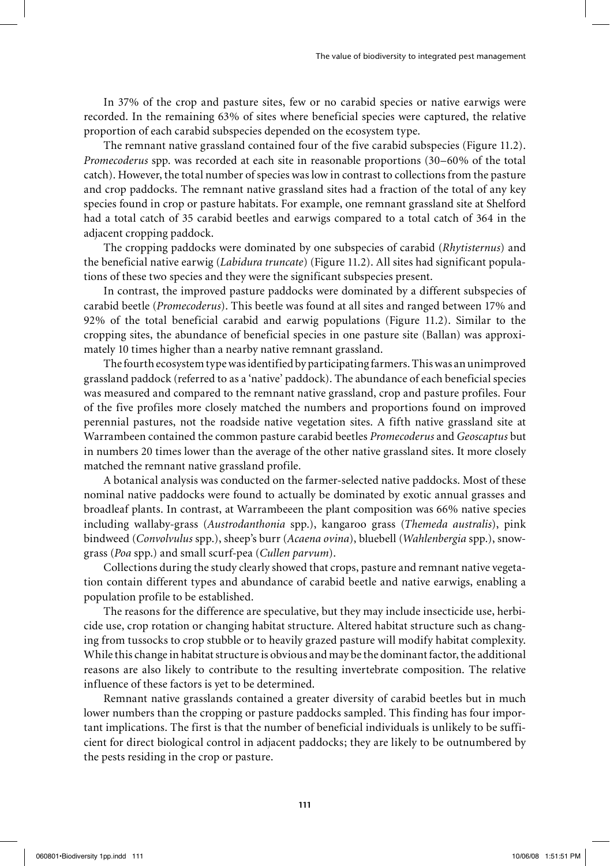In 37% of the crop and pasture sites, few or no carabid species or native earwigs were recorded. In the remaining 63% of sites where beneficial species were captured, the relative proportion of each carabid subspecies depended on the ecosystem type.

The remnant native grassland contained four of the five carabid subspecies (Figure 11.2). *Promecoderus* spp. was recorded at each site in reasonable proportions (30–60% of the total catch). However, the total number of species was low in contrast to collections from the pasture and crop paddocks. The remnant native grassland sites had a fraction of the total of any key species found in crop or pasture habitats. For example, one remnant grassland site at Shelford had a total catch of 35 carabid beetles and earwigs compared to a total catch of 364 in the adjacent cropping paddock.

The cropping paddocks were dominated by one subspecies of carabid (*Rhytisternus*) and the beneficial native earwig (*Labidura truncate*) (Figure 11.2). All sites had significant populations of these two species and they were the significant subspecies present.

In contrast, the improved pasture paddocks were dominated by a different subspecies of carabid beetle (*Promecoderus*). This beetle was found at all sites and ranged between 17% and 92% of the total beneficial carabid and earwig populations (Figure 11.2). Similar to the cropping sites, the abundance of beneficial species in one pasture site (Ballan) was approximately 10 times higher than a nearby native remnant grassland.

The fourth ecosystem type was identified by participating farmers. This was an unimproved grassland paddock (referred to as a 'native' paddock). The abundance of each beneficial species was measured and compared to the remnant native grassland, crop and pasture profiles. Four of the five profiles more closely matched the numbers and proportions found on improved perennial pastures, not the roadside native vegetation sites. A fifth native grassland site at Warrambeen contained the common pasture carabid beetles *Promecoderus* and *Geoscaptus* but in numbers 20 times lower than the average of the other native grassland sites. It more closely matched the remnant native grassland profile.

A botanical analysis was conducted on the farmer-selected native paddocks. Most of these nominal native paddocks were found to actually be dominated by exotic annual grasses and broadleaf plants. In contrast, at Warrambeeen the plant composition was 66% native species including wallaby-grass (*Austrodanthonia* spp.), kangaroo grass (*Themeda australis*), pink bindweed (*Convolvulus* spp.), sheep's burr (*Acaena ovina*), bluebell (*Wahlenbergia* spp.), snowgrass (*Poa* spp.) and small scurf-pea (*Cullen parvum*).

Collections during the study clearly showed that crops, pasture and remnant native vegetation contain different types and abundance of carabid beetle and native earwigs, enabling a population profile to be established.

The reasons for the difference are speculative, but they may include insecticide use, herbicide use, crop rotation or changing habitat structure. Altered habitat structure such as changing from tussocks to crop stubble or to heavily grazed pasture will modify habitat complexity. While this change in habitat structure is obvious and may be the dominant factor, the additional reasons are also likely to contribute to the resulting invertebrate composition. The relative influence of these factors is yet to be determined.

Remnant native grasslands contained a greater diversity of carabid beetles but in much lower numbers than the cropping or pasture paddocks sampled. This finding has four important implications. The first is that the number of beneficial individuals is unlikely to be sufficient for direct biological control in adjacent paddocks; they are likely to be outnumbered by the pests residing in the crop or pasture.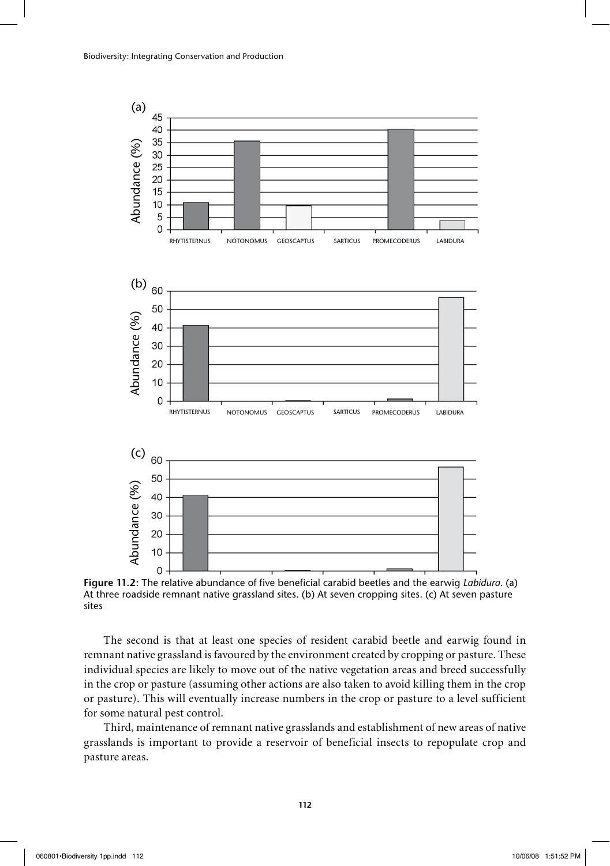

Figure 11.2: The relative abundance of five beneficial carabid beetles and the earwig *Labidura*. (a) At three roadside remnant native grassland sites. (b) At seven cropping sites. (c) At seven pasture sites

The second is that at least one species of resident carabid beetle and earwig found in remnant native grassland is favoured by the environment created by cropping or pasture. These individual species are likely to move out of the native vegetation areas and breed successfully in the crop or pasture (assuming other actions are also taken to avoid killing them in the crop or pasture). This will eventually increase numbers in the crop or pasture to a level sufficient for some natural pest control.

Third, maintenance of remnant native grasslands and establishment of new areas of native grasslands is important to provide a reservoir of beneficial insects to repopulate crop and pasture areas.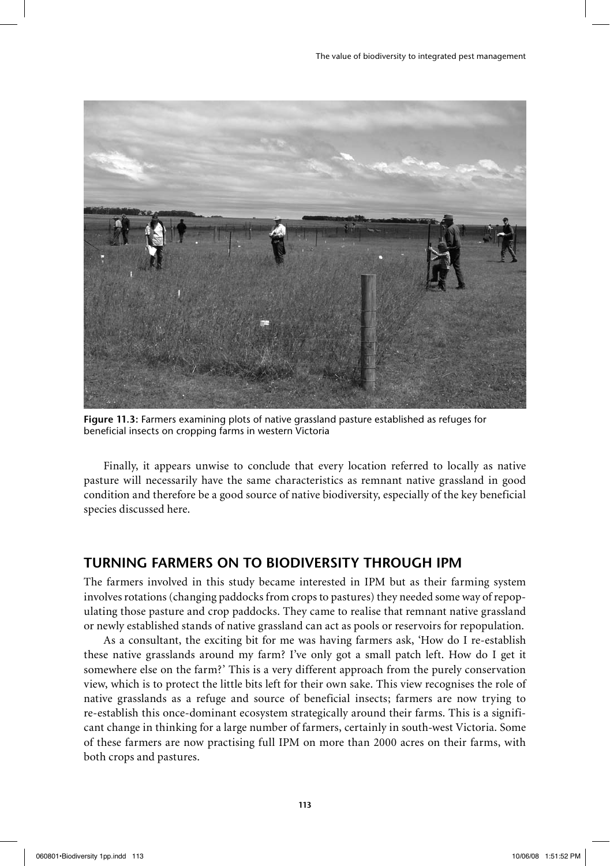

**Figure 11.3:** Farmers examining plots of native grassland pasture established as refuges for beneficial insects on cropping farms in western Victoria

Finally, it appears unwise to conclude that every location referred to locally as native pasture will necessarily have the same characteristics as remnant native grassland in good condition and therefore be a good source of native biodiversity, especially of the key beneficial species discussed here.

#### **Turning farmers on to biodiversity through IPM**

The farmers involved in this study became interested in IPM but as their farming system involves rotations (changing paddocks from crops to pastures) they needed some way of repopulating those pasture and crop paddocks. They came to realise that remnant native grassland or newly established stands of native grassland can act as pools or reservoirs for repopulation.

As a consultant, the exciting bit for me was having farmers ask, 'How do I re-establish these native grasslands around my farm? I've only got a small patch left. How do I get it somewhere else on the farm?' This is a very different approach from the purely conservation view, which is to protect the little bits left for their own sake. This view recognises the role of native grasslands as a refuge and source of beneficial insects; farmers are now trying to re-establish this once-dominant ecosystem strategically around their farms. This is a significant change in thinking for a large number of farmers, certainly in south-west Victoria. Some of these farmers are now practising full IPM on more than 2000 acres on their farms, with both crops and pastures.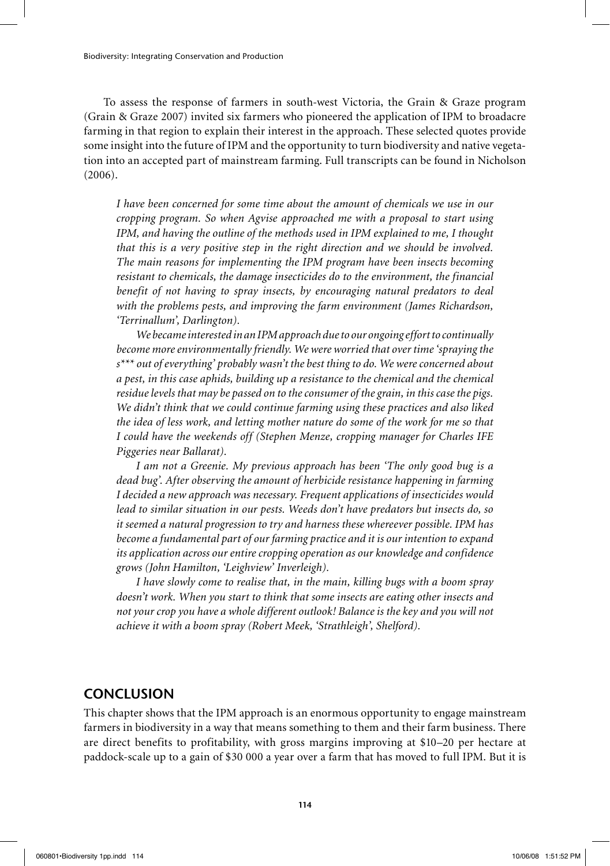To assess the response of farmers in south-west Victoria, the Grain & Graze program (Grain & Graze 2007) invited six farmers who pioneered the application of IPM to broadacre farming in that region to explain their interest in the approach. These selected quotes provide some insight into the future of IPM and the opportunity to turn biodiversity and native vegetation into an accepted part of mainstream farming. Full transcripts can be found in Nicholson (2006).

*I have been concerned for some time about the amount of chemicals we use in our cropping program. So when Agvise approached me with a proposal to start using IPM, and having the outline of the methods used in IPM explained to me, I thought that this is a very positive step in the right direction and we should be involved. The main reasons for implementing the IPM program have been insects becoming resistant to chemicals, the damage insecticides do to the environment, the financial benefit of not having to spray insects, by encouraging natural predators to deal with the problems pests, and improving the farm environment (James Richardson, 'Terrinallum', Darlington).*

*We became interested in an IPM approach due to our ongoing effort to continually become more environmentally friendly. We were worried that over time 'spraying the s\*\*\* out of everything' probably wasn't the best thing to do. We were concerned about a pest, in this case aphids, building up a resistance to the chemical and the chemical residue levels that may be passed on to the consumer of the grain, in this case the pigs. We didn't think that we could continue farming using these practices and also liked the idea of less work, and letting mother nature do some of the work for me so that I could have the weekends off (Stephen Menze, cropping manager for Charles IFE Piggeries near Ballarat).*

*I am not a Greenie. My previous approach has been 'The only good bug is a dead bug'. After observing the amount of herbicide resistance happening in farming I decided a new approach was necessary. Frequent applications of insecticides would lead to similar situation in our pests. Weeds don't have predators but insects do, so it seemed a natural progression to try and harness these whereever possible. IPM has become a fundamental part of our farming practice and it is our intention to expand its application across our entire cropping operation as our knowledge and confidence grows (John Hamilton, 'Leighview' Inverleigh).*

*I have slowly come to realise that, in the main, killing bugs with a boom spray doesn't work. When you start to think that some insects are eating other insects and not your crop you have a whole different outlook! Balance is the key and you will not achieve it with a boom spray (Robert Meek, 'Strathleigh', Shelford).*

#### **Conclusion**

This chapter shows that the IPM approach is an enormous opportunity to engage mainstream farmers in biodiversity in a way that means something to them and their farm business. There are direct benefits to profitability, with gross margins improving at \$10–20 per hectare at paddock-scale up to a gain of \$30 000 a year over a farm that has moved to full IPM. But it is